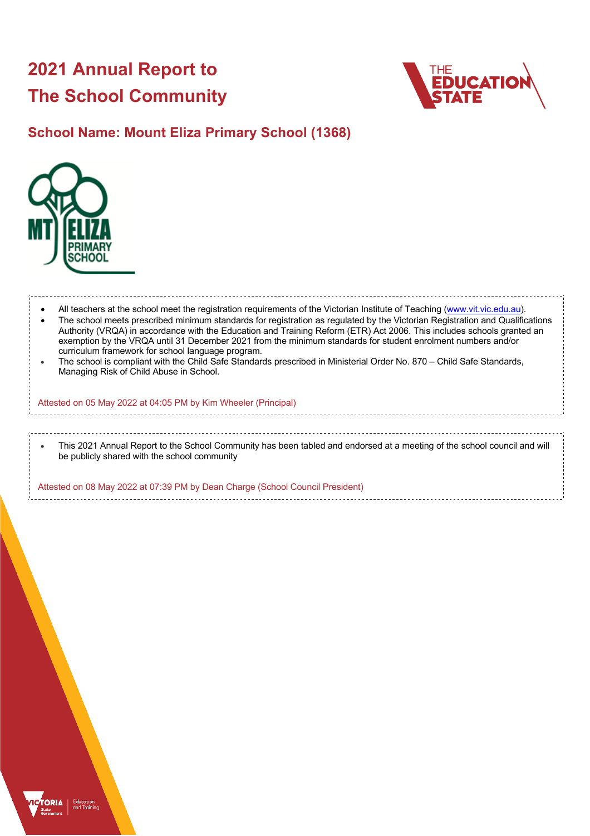# **2021 Annual Report to The School Community**



# **School Name: Mount Eliza Primary School (1368)**



All teachers at the school meet the registration requirements of the Victorian Institute of Teaching (www.vit.vic.edu.au). • The school meets prescribed minimum standards for registration as regulated by the Victorian Registration and Qualifications Authority (VRQA) in accordance with the Education and Training Reform (ETR) Act 2006. This includes schools granted an exemption by the VRQA until 31 December 2021 from the minimum standards for student enrolment numbers and/or curriculum framework for school language program. • The school is compliant with the Child Safe Standards prescribed in Ministerial Order No. 870 – Child Safe Standards, Managing Risk of Child Abuse in School. Attested on 05 May 2022 at 04:05 PM by Kim Wheeler (Principal) • This 2021 Annual Report to the School Community has been tabled and endorsed at a meeting of the school council and will be publicly shared with the school community

Attested on 08 May 2022 at 07:39 PM by Dean Charge (School Council President)

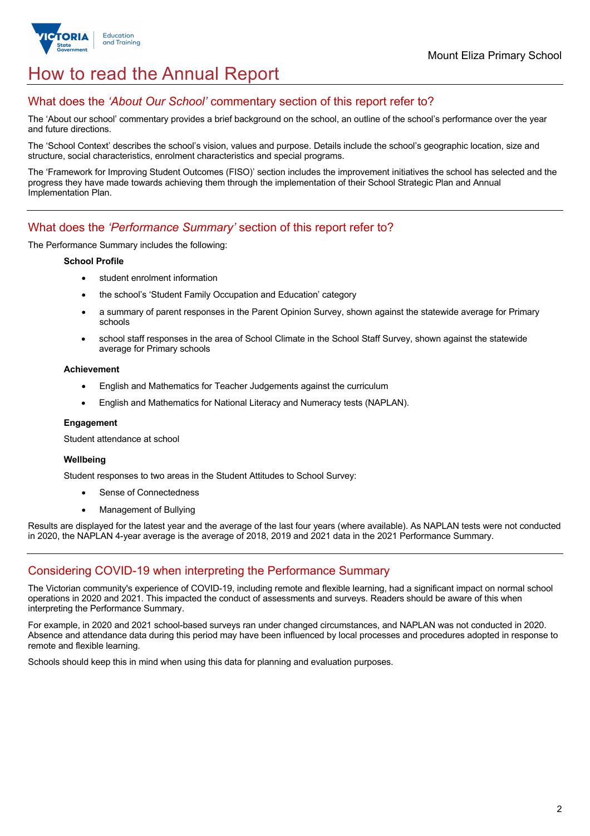

# How to read the Annual Report

## What does the *'About Our School'* commentary section of this report refer to?

The 'About our school' commentary provides a brief background on the school, an outline of the school's performance over the year and future directions.

The 'School Context' describes the school's vision, values and purpose. Details include the school's geographic location, size and structure, social characteristics, enrolment characteristics and special programs.

The 'Framework for Improving Student Outcomes (FISO)' section includes the improvement initiatives the school has selected and the progress they have made towards achieving them through the implementation of their School Strategic Plan and Annual Implementation Plan.

### What does the *'Performance Summary'* section of this report refer to?

The Performance Summary includes the following:

#### **School Profile**

- student enrolment information
- the school's 'Student Family Occupation and Education' category
- a summary of parent responses in the Parent Opinion Survey, shown against the statewide average for Primary schools
- school staff responses in the area of School Climate in the School Staff Survey, shown against the statewide average for Primary schools

#### **Achievement**

- English and Mathematics for Teacher Judgements against the curriculum
- English and Mathematics for National Literacy and Numeracy tests (NAPLAN).

#### **Engagement**

Student attendance at school

#### **Wellbeing**

Student responses to two areas in the Student Attitudes to School Survey:

- Sense of Connectedness
- Management of Bullying

Results are displayed for the latest year and the average of the last four years (where available). As NAPLAN tests were not conducted in 2020, the NAPLAN 4-year average is the average of 2018, 2019 and 2021 data in the 2021 Performance Summary.

### Considering COVID-19 when interpreting the Performance Summary

The Victorian community's experience of COVID-19, including remote and flexible learning, had a significant impact on normal school operations in 2020 and 2021. This impacted the conduct of assessments and surveys. Readers should be aware of this when interpreting the Performance Summary.

For example, in 2020 and 2021 school-based surveys ran under changed circumstances, and NAPLAN was not conducted in 2020. Absence and attendance data during this period may have been influenced by local processes and procedures adopted in response to remote and flexible learning.

Schools should keep this in mind when using this data for planning and evaluation purposes.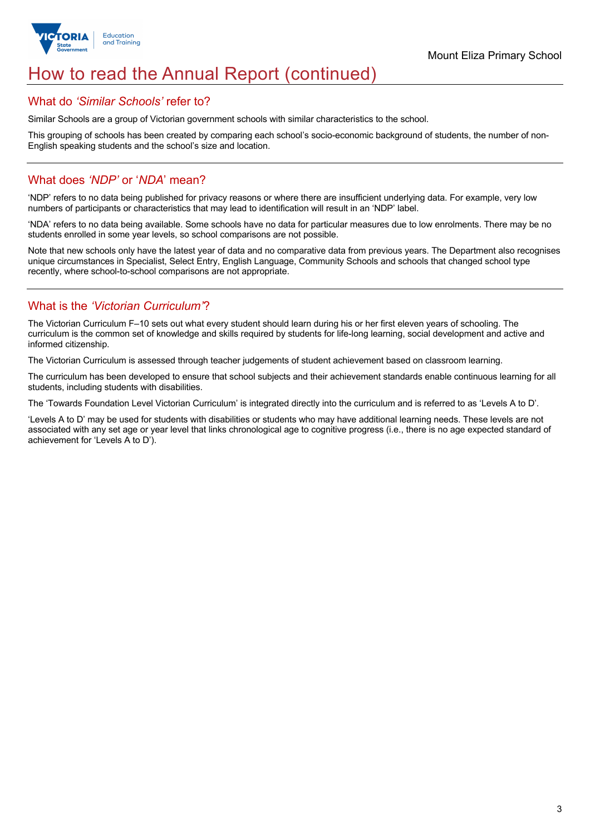

# How to read the Annual Report (continued)

#### What do *'Similar Schools'* refer to?

Similar Schools are a group of Victorian government schools with similar characteristics to the school.

This grouping of schools has been created by comparing each school's socio-economic background of students, the number of non-English speaking students and the school's size and location.

## What does *'NDP'* or '*NDA*' mean?

'NDP' refers to no data being published for privacy reasons or where there are insufficient underlying data. For example, very low numbers of participants or characteristics that may lead to identification will result in an 'NDP' label.

'NDA' refers to no data being available. Some schools have no data for particular measures due to low enrolments. There may be no students enrolled in some year levels, so school comparisons are not possible.

Note that new schools only have the latest year of data and no comparative data from previous years. The Department also recognises unique circumstances in Specialist, Select Entry, English Language, Community Schools and schools that changed school type recently, where school-to-school comparisons are not appropriate.

## What is the *'Victorian Curriculum'*?

The Victorian Curriculum F–10 sets out what every student should learn during his or her first eleven years of schooling. The curriculum is the common set of knowledge and skills required by students for life-long learning, social development and active and informed citizenship.

The Victorian Curriculum is assessed through teacher judgements of student achievement based on classroom learning.

The curriculum has been developed to ensure that school subjects and their achievement standards enable continuous learning for all students, including students with disabilities.

The 'Towards Foundation Level Victorian Curriculum' is integrated directly into the curriculum and is referred to as 'Levels A to D'.

'Levels A to D' may be used for students with disabilities or students who may have additional learning needs. These levels are not associated with any set age or year level that links chronological age to cognitive progress (i.e., there is no age expected standard of achievement for 'Levels A to D').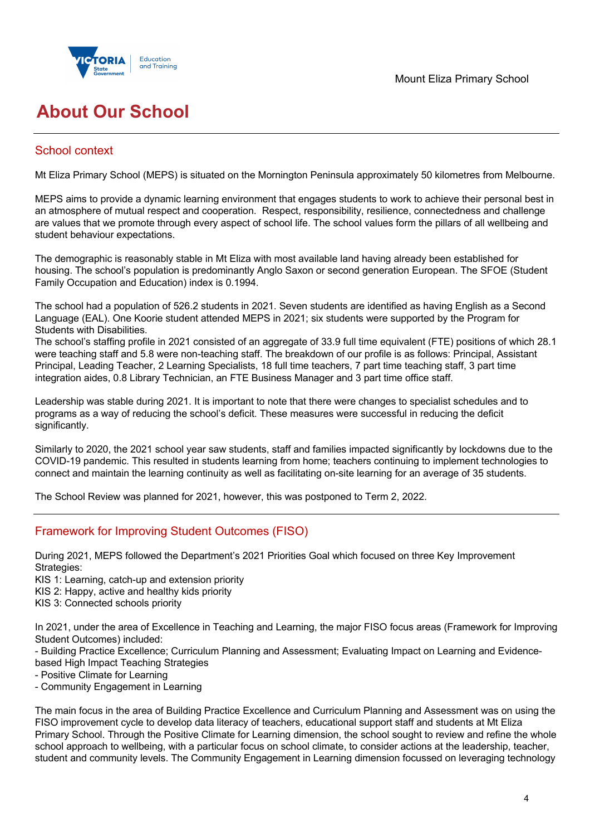

# **About Our School**

## School context

Mt Eliza Primary School (MEPS) is situated on the Mornington Peninsula approximately 50 kilometres from Melbourne.

MEPS aims to provide a dynamic learning environment that engages students to work to achieve their personal best in an atmosphere of mutual respect and cooperation. Respect, responsibility, resilience, connectedness and challenge are values that we promote through every aspect of school life. The school values form the pillars of all wellbeing and student behaviour expectations.

The demographic is reasonably stable in Mt Eliza with most available land having already been established for housing. The school's population is predominantly Anglo Saxon or second generation European. The SFOE (Student Family Occupation and Education) index is 0.1994.

The school had a population of 526.2 students in 2021. Seven students are identified as having English as a Second Language (EAL). One Koorie student attended MEPS in 2021; six students were supported by the Program for Students with Disabilities.

The school's staffing profile in 2021 consisted of an aggregate of 33.9 full time equivalent (FTE) positions of which 28.1 were teaching staff and 5.8 were non-teaching staff. The breakdown of our profile is as follows: Principal, Assistant Principal, Leading Teacher, 2 Learning Specialists, 18 full time teachers, 7 part time teaching staff, 3 part time integration aides, 0.8 Library Technician, an FTE Business Manager and 3 part time office staff.

Leadership was stable during 2021. It is important to note that there were changes to specialist schedules and to programs as a way of reducing the school's deficit. These measures were successful in reducing the deficit significantly.

Similarly to 2020, the 2021 school year saw students, staff and families impacted significantly by lockdowns due to the COVID-19 pandemic. This resulted in students learning from home; teachers continuing to implement technologies to connect and maintain the learning continuity as well as facilitating on-site learning for an average of 35 students.

The School Review was planned for 2021, however, this was postponed to Term 2, 2022.

## Framework for Improving Student Outcomes (FISO)

During 2021, MEPS followed the Department's 2021 Priorities Goal which focused on three Key Improvement Strategies:

KIS 1: Learning, catch-up and extension priority

KIS 2: Happy, active and healthy kids priority

KIS 3: Connected schools priority

In 2021, under the area of Excellence in Teaching and Learning, the major FISO focus areas (Framework for Improving Student Outcomes) included:

- Building Practice Excellence; Curriculum Planning and Assessment; Evaluating Impact on Learning and Evidencebased High Impact Teaching Strategies

- Positive Climate for Learning

- Community Engagement in Learning

The main focus in the area of Building Practice Excellence and Curriculum Planning and Assessment was on using the FISO improvement cycle to develop data literacy of teachers, educational support staff and students at Mt Eliza Primary School. Through the Positive Climate for Learning dimension, the school sought to review and refine the whole school approach to wellbeing, with a particular focus on school climate, to consider actions at the leadership, teacher, student and community levels. The Community Engagement in Learning dimension focussed on leveraging technology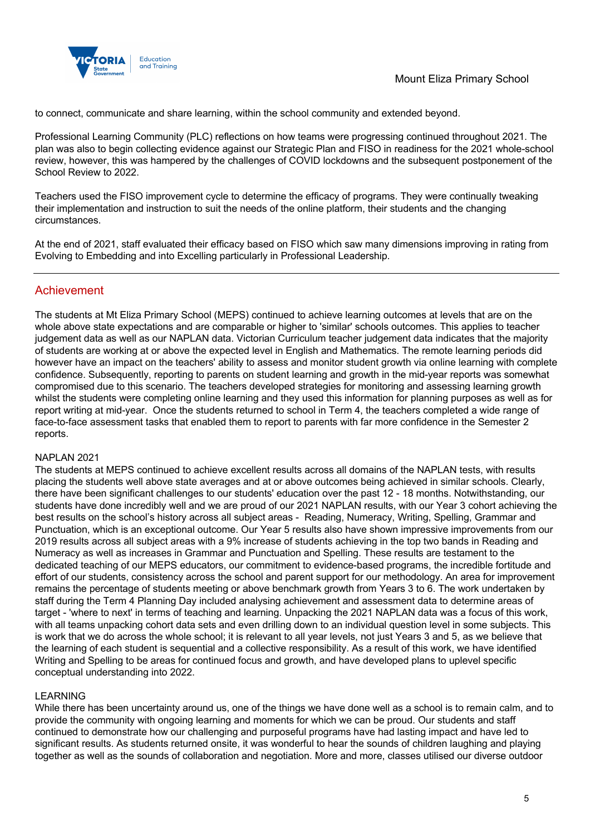

to connect, communicate and share learning, within the school community and extended beyond.

Professional Learning Community (PLC) reflections on how teams were progressing continued throughout 2021. The plan was also to begin collecting evidence against our Strategic Plan and FISO in readiness for the 2021 whole-school review, however, this was hampered by the challenges of COVID lockdowns and the subsequent postponement of the School Review to 2022.

Teachers used the FISO improvement cycle to determine the efficacy of programs. They were continually tweaking their implementation and instruction to suit the needs of the online platform, their students and the changing circumstances.

At the end of 2021, staff evaluated their efficacy based on FISO which saw many dimensions improving in rating from Evolving to Embedding and into Excelling particularly in Professional Leadership.

## Achievement

The students at Mt Eliza Primary School (MEPS) continued to achieve learning outcomes at levels that are on the whole above state expectations and are comparable or higher to 'similar' schools outcomes. This applies to teacher judgement data as well as our NAPLAN data. Victorian Curriculum teacher judgement data indicates that the majority of students are working at or above the expected level in English and Mathematics. The remote learning periods did however have an impact on the teachers' ability to assess and monitor student growth via online learning with complete confidence. Subsequently, reporting to parents on student learning and growth in the mid-year reports was somewhat compromised due to this scenario. The teachers developed strategies for monitoring and assessing learning growth whilst the students were completing online learning and they used this information for planning purposes as well as for report writing at mid-year. Once the students returned to school in Term 4, the teachers completed a wide range of face-to-face assessment tasks that enabled them to report to parents with far more confidence in the Semester 2 reports.

#### NAPLAN 2021

The students at MEPS continued to achieve excellent results across all domains of the NAPLAN tests, with results placing the students well above state averages and at or above outcomes being achieved in similar schools. Clearly, there have been significant challenges to our students' education over the past 12 - 18 months. Notwithstanding, our students have done incredibly well and we are proud of our 2021 NAPLAN results, with our Year 3 cohort achieving the best results on the school's history across all subject areas - Reading, Numeracy, Writing, Spelling, Grammar and Punctuation, which is an exceptional outcome. Our Year 5 results also have shown impressive improvements from our 2019 results across all subject areas with a 9% increase of students achieving in the top two bands in Reading and Numeracy as well as increases in Grammar and Punctuation and Spelling. These results are testament to the dedicated teaching of our MEPS educators, our commitment to evidence-based programs, the incredible fortitude and effort of our students, consistency across the school and parent support for our methodology. An area for improvement remains the percentage of students meeting or above benchmark growth from Years 3 to 6. The work undertaken by staff during the Term 4 Planning Day included analysing achievement and assessment data to determine areas of target - 'where to next' in terms of teaching and learning. Unpacking the 2021 NAPLAN data was a focus of this work, with all teams unpacking cohort data sets and even drilling down to an individual question level in some subjects. This is work that we do across the whole school; it is relevant to all year levels, not just Years 3 and 5, as we believe that the learning of each student is sequential and a collective responsibility. As a result of this work, we have identified Writing and Spelling to be areas for continued focus and growth, and have developed plans to uplevel specific conceptual understanding into 2022.

#### LEARNING

While there has been uncertainty around us, one of the things we have done well as a school is to remain calm, and to provide the community with ongoing learning and moments for which we can be proud. Our students and staff continued to demonstrate how our challenging and purposeful programs have had lasting impact and have led to significant results. As students returned onsite, it was wonderful to hear the sounds of children laughing and playing together as well as the sounds of collaboration and negotiation. More and more, classes utilised our diverse outdoor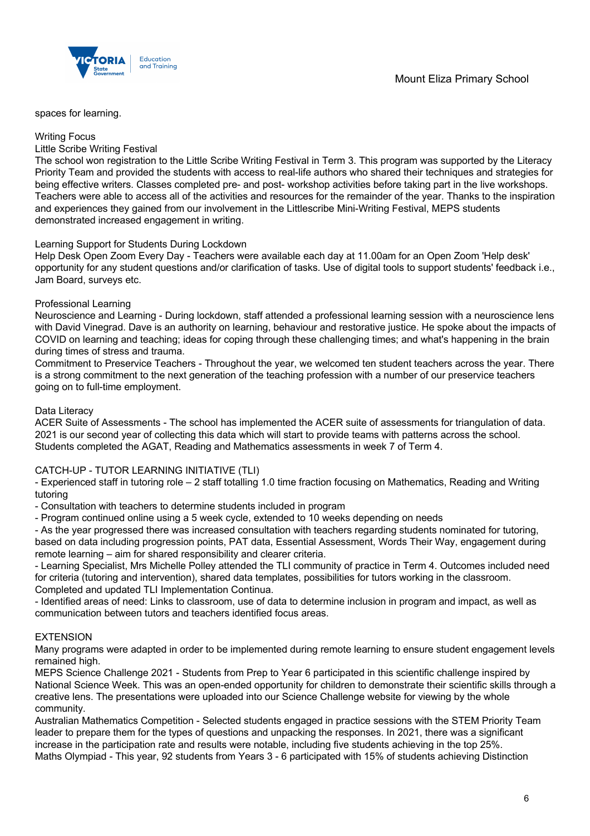

spaces for learning.

#### Writing Focus

#### Little Scribe Writing Festival

The school won registration to the Little Scribe Writing Festival in Term 3. This program was supported by the Literacy Priority Team and provided the students with access to real-life authors who shared their techniques and strategies for being effective writers. Classes completed pre- and post- workshop activities before taking part in the live workshops. Teachers were able to access all of the activities and resources for the remainder of the year. Thanks to the inspiration and experiences they gained from our involvement in the Littlescribe Mini-Writing Festival, MEPS students demonstrated increased engagement in writing.

#### Learning Support for Students During Lockdown

Help Desk Open Zoom Every Day - Teachers were available each day at 11.00am for an Open Zoom 'Help desk' opportunity for any student questions and/or clarification of tasks. Use of digital tools to support students' feedback i.e., Jam Board, surveys etc.

#### Professional Learning

Neuroscience and Learning - During lockdown, staff attended a professional learning session with a neuroscience lens with David Vinegrad. Dave is an authority on learning, behaviour and restorative justice. He spoke about the impacts of COVID on learning and teaching; ideas for coping through these challenging times; and what's happening in the brain during times of stress and trauma.

Commitment to Preservice Teachers - Throughout the year, we welcomed ten student teachers across the year. There is a strong commitment to the next generation of the teaching profession with a number of our preservice teachers going on to full-time employment.

#### Data Literacy

ACER Suite of Assessments - The school has implemented the ACER suite of assessments for triangulation of data. 2021 is our second year of collecting this data which will start to provide teams with patterns across the school. Students completed the AGAT, Reading and Mathematics assessments in week 7 of Term 4.

#### CATCH-UP - TUTOR LEARNING INITIATIVE (TLI)

- Experienced staff in tutoring role – 2 staff totalling 1.0 time fraction focusing on Mathematics, Reading and Writing tutoring

- Consultation with teachers to determine students included in program

- Program continued online using a 5 week cycle, extended to 10 weeks depending on needs

- As the year progressed there was increased consultation with teachers regarding students nominated for tutoring, based on data including progression points, PAT data, Essential Assessment, Words Their Way, engagement during remote learning – aim for shared responsibility and clearer criteria.

- Learning Specialist, Mrs Michelle Polley attended the TLI community of practice in Term 4. Outcomes included need for criteria (tutoring and intervention), shared data templates, possibilities for tutors working in the classroom. Completed and updated TLI Implementation Continua.

- Identified areas of need: Links to classroom, use of data to determine inclusion in program and impact, as well as communication between tutors and teachers identified focus areas.

#### **EXTENSION**

Many programs were adapted in order to be implemented during remote learning to ensure student engagement levels remained high.

MEPS Science Challenge 2021 - Students from Prep to Year 6 participated in this scientific challenge inspired by National Science Week. This was an open-ended opportunity for children to demonstrate their scientific skills through a creative lens. The presentations were uploaded into our Science Challenge website for viewing by the whole community.

Australian Mathematics Competition - Selected students engaged in practice sessions with the STEM Priority Team leader to prepare them for the types of questions and unpacking the responses. In 2021, there was a significant increase in the participation rate and results were notable, including five students achieving in the top 25%. Maths Olympiad - This year, 92 students from Years 3 - 6 participated with 15% of students achieving Distinction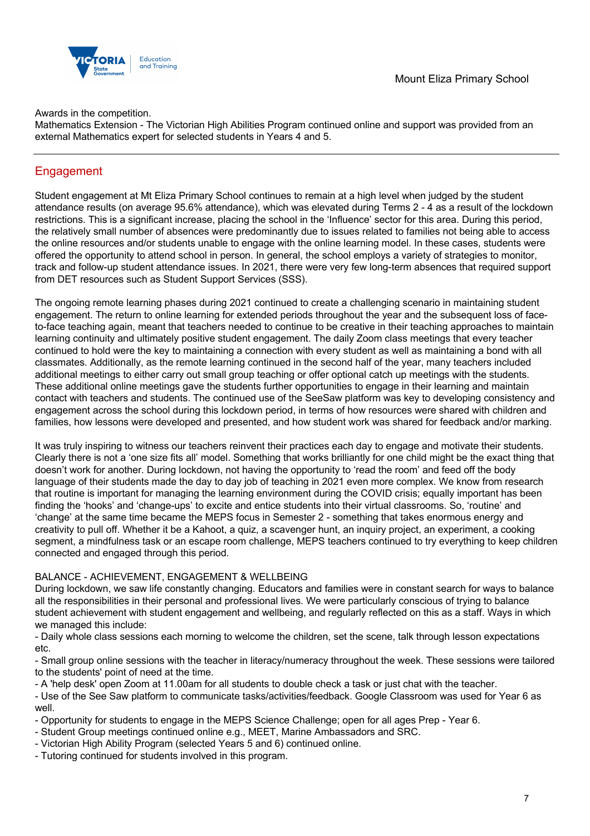

Awards in the competition.

Mathematics Extension - The Victorian High Abilities Program continued online and support was provided from an external Mathematics expert for selected students in Years 4 and 5.

## **Engagement**

Student engagement at Mt Eliza Primary School continues to remain at a high level when judged by the student attendance results (on average 95.6% attendance), which was elevated during Terms 2 - 4 as a result of the lockdown restrictions. This is a significant increase, placing the school in the 'Influence' sector for this area. During this period, the relatively small number of absences were predominantly due to issues related to families not being able to access the online resources and/or students unable to engage with the online learning model. In these cases, students were offered the opportunity to attend school in person. In general, the school employs a variety of strategies to monitor, track and follow-up student attendance issues. In 2021, there were very few long-term absences that required support from DET resources such as Student Support Services (SSS).

The ongoing remote learning phases during 2021 continued to create a challenging scenario in maintaining student engagement. The return to online learning for extended periods throughout the year and the subsequent loss of faceto-face teaching again, meant that teachers needed to continue to be creative in their teaching approaches to maintain learning continuity and ultimately positive student engagement. The daily Zoom class meetings that every teacher continued to hold were the key to maintaining a connection with every student as well as maintaining a bond with all classmates. Additionally, as the remote learning continued in the second half of the year, many teachers included additional meetings to either carry out small group teaching or offer optional catch up meetings with the students. These additional online meetings gave the students further opportunities to engage in their learning and maintain contact with teachers and students. The continued use of the SeeSaw platform was key to developing consistency and engagement across the school during this lockdown period, in terms of how resources were shared with children and families, how lessons were developed and presented, and how student work was shared for feedback and/or marking.

It was truly inspiring to witness our teachers reinvent their practices each day to engage and motivate their students. Clearly there is not a 'one size fits all' model. Something that works brilliantly for one child might be the exact thing that doesn't work for another. During lockdown, not having the opportunity to 'read the room' and feed off the body language of their students made the day to day job of teaching in 2021 even more complex. We know from research that routine is important for managing the learning environment during the COVID crisis; equally important has been finding the 'hooks' and 'change-ups' to excite and entice students into their virtual classrooms. So, 'routine' and 'change' at the same time became the MEPS focus in Semester 2 - something that takes enormous energy and creativity to pull off. Whether it be a Kahoot, a quiz, a scavenger hunt, an inquiry project, an experiment, a cooking segment, a mindfulness task or an escape room challenge, MEPS teachers continued to try everything to keep children connected and engaged through this period.

#### BALANCE - ACHIEVEMENT, ENGAGEMENT & WELLBEING

During lockdown, we saw life constantly changing. Educators and families were in constant search for ways to balance all the responsibilities in their personal and professional lives. We were particularly conscious of trying to balance student achievement with student engagement and wellbeing, and regularly reflected on this as a staff. Ways in which we managed this include:

- Daily whole class sessions each morning to welcome the children, set the scene, talk through lesson expectations etc.

- Small group online sessions with the teacher in literacy/numeracy throughout the week. These sessions were tailored to the students' point of need at the time.

- A 'help desk' open Zoom at 11.00am for all students to double check a task or just chat with the teacher.

- Use of the See Saw platform to communicate tasks/activities/feedback. Google Classroom was used for Year 6 as well.

- Opportunity for students to engage in the MEPS Science Challenge; open for all ages Prep - Year 6.

- Student Group meetings continued online e.g., MEET, Marine Ambassadors and SRC.
- Victorian High Ability Program (selected Years 5 and 6) continued online.
- Tutoring continued for students involved in this program.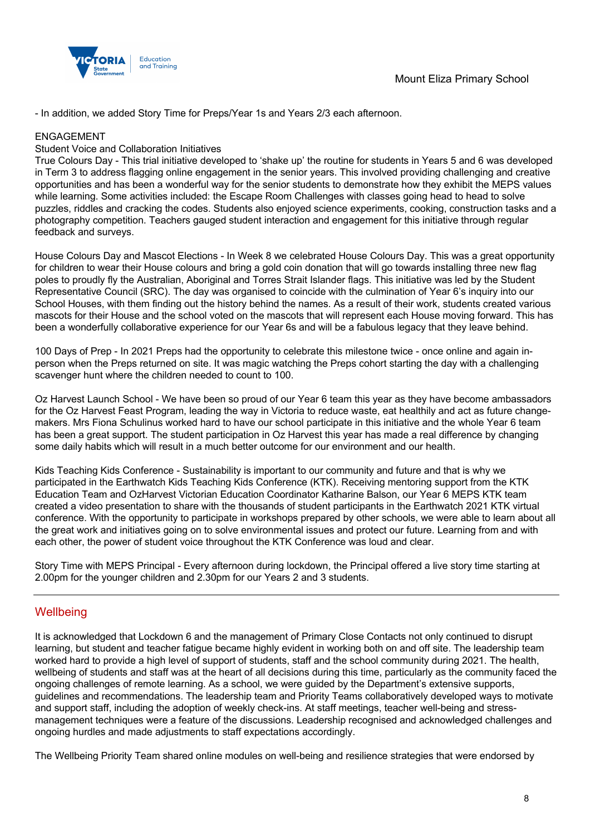

- In addition, we added Story Time for Preps/Year 1s and Years 2/3 each afternoon.

#### ENGAGEMENT

#### Student Voice and Collaboration Initiatives

True Colours Day - This trial initiative developed to 'shake up' the routine for students in Years 5 and 6 was developed in Term 3 to address flagging online engagement in the senior years. This involved providing challenging and creative opportunities and has been a wonderful way for the senior students to demonstrate how they exhibit the MEPS values while learning. Some activities included: the Escape Room Challenges with classes going head to head to solve puzzles, riddles and cracking the codes. Students also enjoyed science experiments, cooking, construction tasks and a photography competition. Teachers gauged student interaction and engagement for this initiative through regular feedback and surveys.

House Colours Day and Mascot Elections - In Week 8 we celebrated House Colours Day. This was a great opportunity for children to wear their House colours and bring a gold coin donation that will go towards installing three new flag poles to proudly fly the Australian, Aboriginal and Torres Strait Islander flags. This initiative was led by the Student Representative Council (SRC). The day was organised to coincide with the culmination of Year 6's inquiry into our School Houses, with them finding out the history behind the names. As a result of their work, students created various mascots for their House and the school voted on the mascots that will represent each House moving forward. This has been a wonderfully collaborative experience for our Year 6s and will be a fabulous legacy that they leave behind.

100 Days of Prep - In 2021 Preps had the opportunity to celebrate this milestone twice - once online and again inperson when the Preps returned on site. It was magic watching the Preps cohort starting the day with a challenging scavenger hunt where the children needed to count to 100.

Oz Harvest Launch School - We have been so proud of our Year 6 team this year as they have become ambassadors for the Oz Harvest Feast Program, leading the way in Victoria to reduce waste, eat healthily and act as future changemakers. Mrs Fiona Schulinus worked hard to have our school participate in this initiative and the whole Year 6 team has been a great support. The student participation in Oz Harvest this year has made a real difference by changing some daily habits which will result in a much better outcome for our environment and our health.

Kids Teaching Kids Conference - Sustainability is important to our community and future and that is why we participated in the Earthwatch Kids Teaching Kids Conference (KTK). Receiving mentoring support from the KTK Education Team and OzHarvest Victorian Education Coordinator Katharine Balson, our Year 6 MEPS KTK team created a video presentation to share with the thousands of student participants in the Earthwatch 2021 KTK virtual conference. With the opportunity to participate in workshops prepared by other schools, we were able to learn about all the great work and initiatives going on to solve environmental issues and protect our future. Learning from and with each other, the power of student voice throughout the KTK Conference was loud and clear.

Story Time with MEPS Principal - Every afternoon during lockdown, the Principal offered a live story time starting at 2.00pm for the younger children and 2.30pm for our Years 2 and 3 students.

### **Wellbeing**

It is acknowledged that Lockdown 6 and the management of Primary Close Contacts not only continued to disrupt learning, but student and teacher fatigue became highly evident in working both on and off site. The leadership team worked hard to provide a high level of support of students, staff and the school community during 2021. The health, wellbeing of students and staff was at the heart of all decisions during this time, particularly as the community faced the ongoing challenges of remote learning. As a school, we were guided by the Department's extensive supports, guidelines and recommendations. The leadership team and Priority Teams collaboratively developed ways to motivate and support staff, including the adoption of weekly check-ins. At staff meetings, teacher well-being and stressmanagement techniques were a feature of the discussions. Leadership recognised and acknowledged challenges and ongoing hurdles and made adjustments to staff expectations accordingly.

The Wellbeing Priority Team shared online modules on well-being and resilience strategies that were endorsed by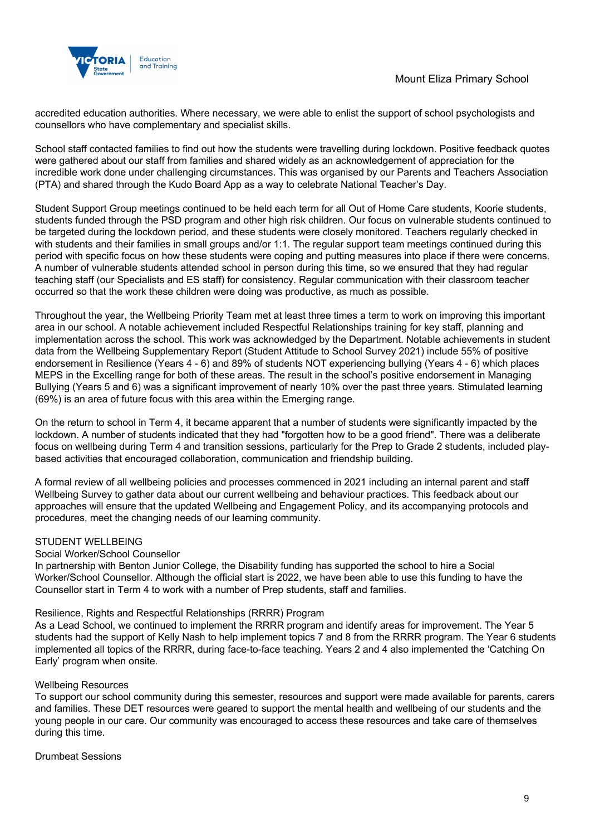

accredited education authorities. Where necessary, we were able to enlist the support of school psychologists and counsellors who have complementary and specialist skills.

School staff contacted families to find out how the students were travelling during lockdown. Positive feedback quotes were gathered about our staff from families and shared widely as an acknowledgement of appreciation for the incredible work done under challenging circumstances. This was organised by our Parents and Teachers Association (PTA) and shared through the Kudo Board App as a way to celebrate National Teacher's Day.

Student Support Group meetings continued to be held each term for all Out of Home Care students, Koorie students, students funded through the PSD program and other high risk children. Our focus on vulnerable students continued to be targeted during the lockdown period, and these students were closely monitored. Teachers regularly checked in with students and their families in small groups and/or 1:1. The regular support team meetings continued during this period with specific focus on how these students were coping and putting measures into place if there were concerns. A number of vulnerable students attended school in person during this time, so we ensured that they had regular teaching staff (our Specialists and ES staff) for consistency. Regular communication with their classroom teacher occurred so that the work these children were doing was productive, as much as possible.

Throughout the year, the Wellbeing Priority Team met at least three times a term to work on improving this important area in our school. A notable achievement included Respectful Relationships training for key staff, planning and implementation across the school. This work was acknowledged by the Department. Notable achievements in student data from the Wellbeing Supplementary Report (Student Attitude to School Survey 2021) include 55% of positive endorsement in Resilience (Years 4 - 6) and 89% of students NOT experiencing bullying (Years 4 - 6) which places MEPS in the Excelling range for both of these areas. The result in the school's positive endorsement in Managing Bullying (Years 5 and 6) was a significant improvement of nearly 10% over the past three years. Stimulated learning (69%) is an area of future focus with this area within the Emerging range.

On the return to school in Term 4, it became apparent that a number of students were significantly impacted by the lockdown. A number of students indicated that they had "forgotten how to be a good friend". There was a deliberate focus on wellbeing during Term 4 and transition sessions, particularly for the Prep to Grade 2 students, included playbased activities that encouraged collaboration, communication and friendship building.

A formal review of all wellbeing policies and processes commenced in 2021 including an internal parent and staff Wellbeing Survey to gather data about our current wellbeing and behaviour practices. This feedback about our approaches will ensure that the updated Wellbeing and Engagement Policy, and its accompanying protocols and procedures, meet the changing needs of our learning community.

#### STUDENT WELLBEING

#### Social Worker/School Counsellor

In partnership with Benton Junior College, the Disability funding has supported the school to hire a Social Worker/School Counsellor. Although the official start is 2022, we have been able to use this funding to have the Counsellor start in Term 4 to work with a number of Prep students, staff and families.

#### Resilience, Rights and Respectful Relationships (RRRR) Program

As a Lead School, we continued to implement the RRRR program and identify areas for improvement. The Year 5 students had the support of Kelly Nash to help implement topics 7 and 8 from the RRRR program. The Year 6 students implemented all topics of the RRRR, during face-to-face teaching. Years 2 and 4 also implemented the 'Catching On Early' program when onsite.

#### Wellbeing Resources

To support our school community during this semester, resources and support were made available for parents, carers and families. These DET resources were geared to support the mental health and wellbeing of our students and the young people in our care. Our community was encouraged to access these resources and take care of themselves during this time.

#### Drumbeat Sessions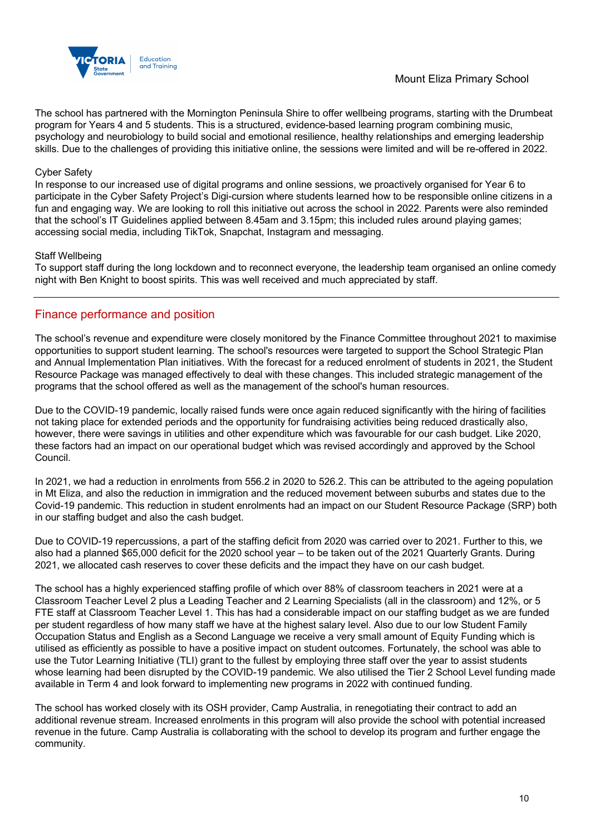

### Mount Eliza Primary School

The school has partnered with the Mornington Peninsula Shire to offer wellbeing programs, starting with the Drumbeat program for Years 4 and 5 students. This is a structured, evidence-based learning program combining music, psychology and neurobiology to build social and emotional resilience, healthy relationships and emerging leadership skills. Due to the challenges of providing this initiative online, the sessions were limited and will be re-offered in 2022.

#### Cyber Safety

In response to our increased use of digital programs and online sessions, we proactively organised for Year 6 to participate in the Cyber Safety Project's Digi-cursion where students learned how to be responsible online citizens in a fun and engaging way. We are looking to roll this initiative out across the school in 2022. Parents were also reminded that the school's IT Guidelines applied between 8.45am and 3.15pm; this included rules around playing games; accessing social media, including TikTok, Snapchat, Instagram and messaging.

#### Staff Wellbeing

To support staff during the long lockdown and to reconnect everyone, the leadership team organised an online comedy night with Ben Knight to boost spirits. This was well received and much appreciated by staff.

### Finance performance and position

The school's revenue and expenditure were closely monitored by the Finance Committee throughout 2021 to maximise opportunities to support student learning. The school's resources were targeted to support the School Strategic Plan and Annual Implementation Plan initiatives. With the forecast for a reduced enrolment of students in 2021, the Student Resource Package was managed effectively to deal with these changes. This included strategic management of the programs that the school offered as well as the management of the school's human resources.

Due to the COVID-19 pandemic, locally raised funds were once again reduced significantly with the hiring of facilities not taking place for extended periods and the opportunity for fundraising activities being reduced drastically also, however, there were savings in utilities and other expenditure which was favourable for our cash budget. Like 2020, these factors had an impact on our operational budget which was revised accordingly and approved by the School Council.

In 2021, we had a reduction in enrolments from 556.2 in 2020 to 526.2. This can be attributed to the ageing population in Mt Eliza, and also the reduction in immigration and the reduced movement between suburbs and states due to the Covid-19 pandemic. This reduction in student enrolments had an impact on our Student Resource Package (SRP) both in our staffing budget and also the cash budget.

Due to COVID-19 repercussions, a part of the staffing deficit from 2020 was carried over to 2021. Further to this, we also had a planned \$65,000 deficit for the 2020 school year – to be taken out of the 2021 Quarterly Grants. During 2021, we allocated cash reserves to cover these deficits and the impact they have on our cash budget.

The school has a highly experienced staffing profile of which over 88% of classroom teachers in 2021 were at a Classroom Teacher Level 2 plus a Leading Teacher and 2 Learning Specialists (all in the classroom) and 12%, or 5 FTE staff at Classroom Teacher Level 1. This has had a considerable impact on our staffing budget as we are funded per student regardless of how many staff we have at the highest salary level. Also due to our low Student Family Occupation Status and English as a Second Language we receive a very small amount of Equity Funding which is utilised as efficiently as possible to have a positive impact on student outcomes. Fortunately, the school was able to use the Tutor Learning Initiative (TLI) grant to the fullest by employing three staff over the year to assist students whose learning had been disrupted by the COVID-19 pandemic. We also utilised the Tier 2 School Level funding made available in Term 4 and look forward to implementing new programs in 2022 with continued funding.

The school has worked closely with its OSH provider, Camp Australia, in renegotiating their contract to add an additional revenue stream. Increased enrolments in this program will also provide the school with potential increased revenue in the future. Camp Australia is collaborating with the school to develop its program and further engage the community.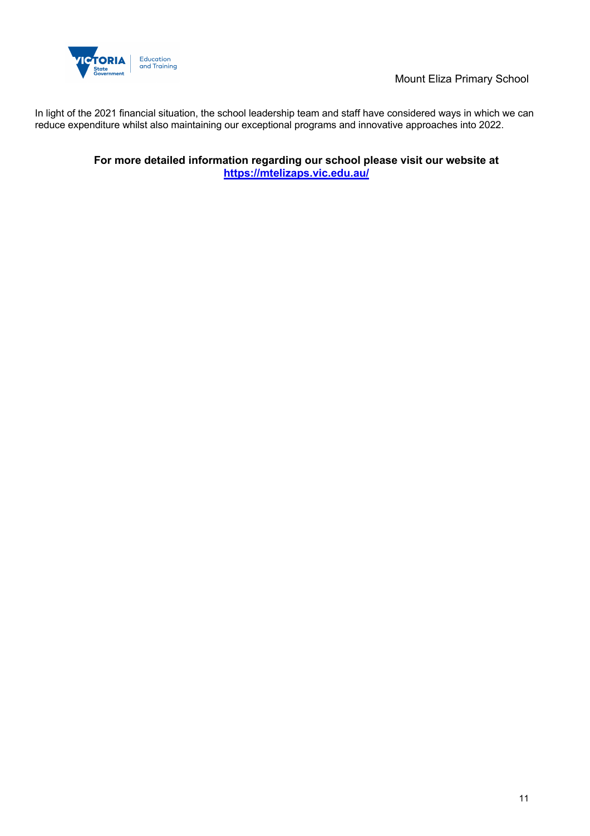

Mount Eliza Primary School

In light of the 2021 financial situation, the school leadership team and staff have considered ways in which we can reduce expenditure whilst also maintaining our exceptional programs and innovative approaches into 2022.

> **For more detailed information regarding our school please visit our website at https://mtelizaps.vic.edu.au/**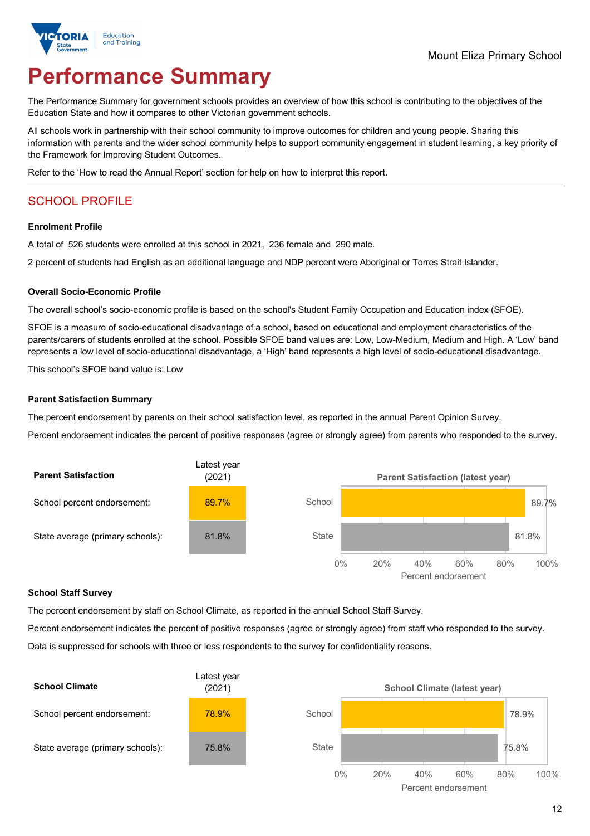

# **Performance Summary**

The Performance Summary for government schools provides an overview of how this school is contributing to the objectives of the Education State and how it compares to other Victorian government schools.

All schools work in partnership with their school community to improve outcomes for children and young people. Sharing this information with parents and the wider school community helps to support community engagement in student learning, a key priority of the Framework for Improving Student Outcomes.

Refer to the 'How to read the Annual Report' section for help on how to interpret this report.

## SCHOOL PROFILE

#### **Enrolment Profile**

A total of 526 students were enrolled at this school in 2021, 236 female and 290 male.

2 percent of students had English as an additional language and NDP percent were Aboriginal or Torres Strait Islander.

#### **Overall Socio-Economic Profile**

The overall school's socio-economic profile is based on the school's Student Family Occupation and Education index (SFOE).

SFOE is a measure of socio-educational disadvantage of a school, based on educational and employment characteristics of the parents/carers of students enrolled at the school. Possible SFOE band values are: Low, Low-Medium, Medium and High. A 'Low' band represents a low level of socio-educational disadvantage, a 'High' band represents a high level of socio-educational disadvantage.

This school's SFOE band value is: Low

#### **Parent Satisfaction Summary**

The percent endorsement by parents on their school satisfaction level, as reported in the annual Parent Opinion Survey.

Percent endorsement indicates the percent of positive responses (agree or strongly agree) from parents who responded to the survey.



#### **School Staff Survey**

The percent endorsement by staff on School Climate, as reported in the annual School Staff Survey.

Percent endorsement indicates the percent of positive responses (agree or strongly agree) from staff who responded to the survey. Data is suppressed for schools with three or less respondents to the survey for confidentiality reasons.

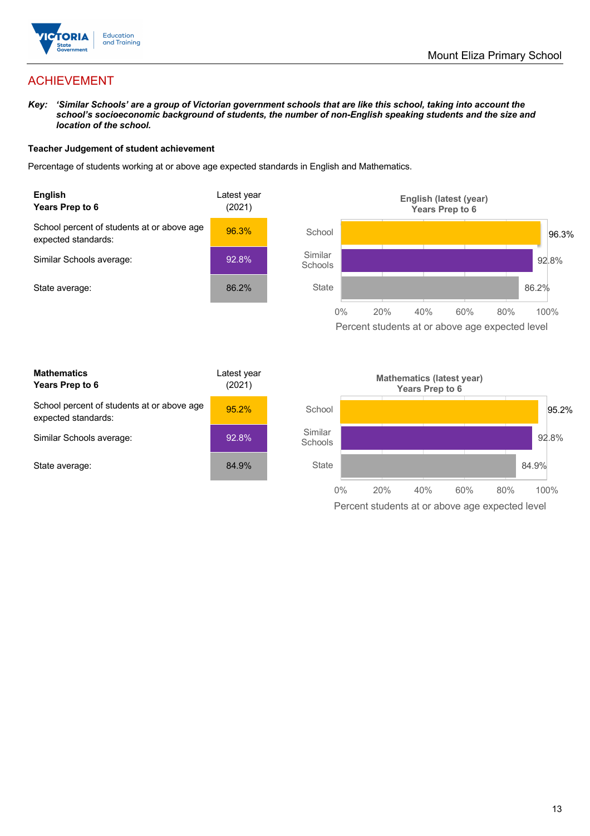

## ACHIEVEMENT

*Key: 'Similar Schools' are a group of Victorian government schools that are like this school, taking into account the school's socioeconomic background of students, the number of non-English speaking students and the size and location of the school.*

#### **Teacher Judgement of student achievement**

Percentage of students working at or above age expected standards in English and Mathematics.



Percent students at or above age expected level

| <b>Mathematics</b><br>Years Prep to 6                             | Latest year<br>(2021) |
|-------------------------------------------------------------------|-----------------------|
| School percent of students at or above age<br>expected standards: | 95.2%                 |
| Similar Schools average:                                          | 92.8%                 |
| State average:                                                    | 84.9%                 |

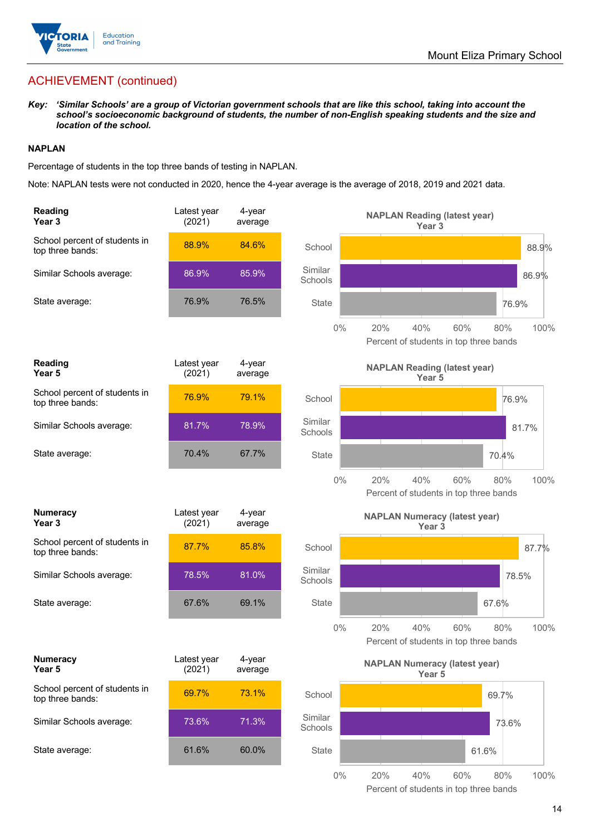

## ACHIEVEMENT (continued)

*Key: 'Similar Schools' are a group of Victorian government schools that are like this school, taking into account the school's socioeconomic background of students, the number of non-English speaking students and the size and location of the school.*

#### **NAPLAN**

Percentage of students in the top three bands of testing in NAPLAN.

Note: NAPLAN tests were not conducted in 2020, hence the 4-year average is the average of 2018, 2019 and 2021 data.

| <b>Reading</b><br>Year <sub>3</sub>               | Latest year<br>(2021) | 4-year<br>average |                    | <b>NAPLAN Reading (latest year)</b><br>Year 3             |                                                              |
|---------------------------------------------------|-----------------------|-------------------|--------------------|-----------------------------------------------------------|--------------------------------------------------------------|
| School percent of students in<br>top three bands: | 88.9%                 | 84.6%             | School             |                                                           | 88.9%                                                        |
| Similar Schools average:                          | 86.9%                 | 85.9%             | Similar<br>Schools |                                                           | 86.9%                                                        |
| State average:                                    | 76.9%                 | 76.5%             | <b>State</b>       |                                                           | 76.9%                                                        |
|                                                   |                       |                   | $0\%$              | 20%<br>40%                                                | 60%<br>80%<br>100%<br>Percent of students in top three bands |
| <b>Reading</b><br>Year 5                          | Latest year<br>(2021) | 4-year<br>average |                    | <b>NAPLAN Reading (latest year)</b><br>Year 5             |                                                              |
| School percent of students in<br>top three bands: | 76.9%                 | 79.1%             | School             |                                                           | 76.9%                                                        |
| Similar Schools average:                          | 81.7%                 | 78.9%             | Similar<br>Schools |                                                           | 81.7%                                                        |
| State average:                                    | 70.4%                 | 67.7%             | <b>State</b>       |                                                           | 70.4%                                                        |
|                                                   |                       |                   | 0%                 | 20%<br>40%                                                | 60%<br>80%<br>100%<br>Percent of students in top three bands |
| <b>Numeracy</b><br>Year <sub>3</sub>              | Latest year<br>(2021) | 4-year<br>average |                    | <b>NAPLAN Numeracy (latest year)</b><br>Year <sub>3</sub> |                                                              |
| School percent of students in<br>top three bands: | 87.7%                 | 85.8%             | School             |                                                           | 87.7%                                                        |
| Similar Schools average:                          | 78.5%                 | 81.0%             | Similar<br>Schools |                                                           | 78.5%                                                        |
| State average:                                    | 67.6%                 | 69.1%             | <b>State</b>       |                                                           | 67.6%                                                        |
|                                                   |                       |                   | $0\%$              | 40%<br>20%                                                | 60%<br>100%<br>80%<br>Percent of students in top three bands |
| <b>Numeracy</b><br>Year 5                         | Latest year<br>(2021) | 4-year<br>average |                    | <b>NAPLAN Numeracy (latest year)</b><br>Year 5            |                                                              |
| School percent of students in<br>top three bands: | 69.7%                 | 73.1%             | School             |                                                           | 69.7%                                                        |
| Similar Schools average:                          | 73.6%                 | 71.3%             | Similar<br>Schools |                                                           | 73.6%                                                        |
| State average:                                    | 61.6%                 | 60.0%             | <b>State</b>       |                                                           | 61.6%                                                        |
|                                                   |                       |                   | $0\%$              | 20%<br>40%                                                | 60%<br>80%<br>100%                                           |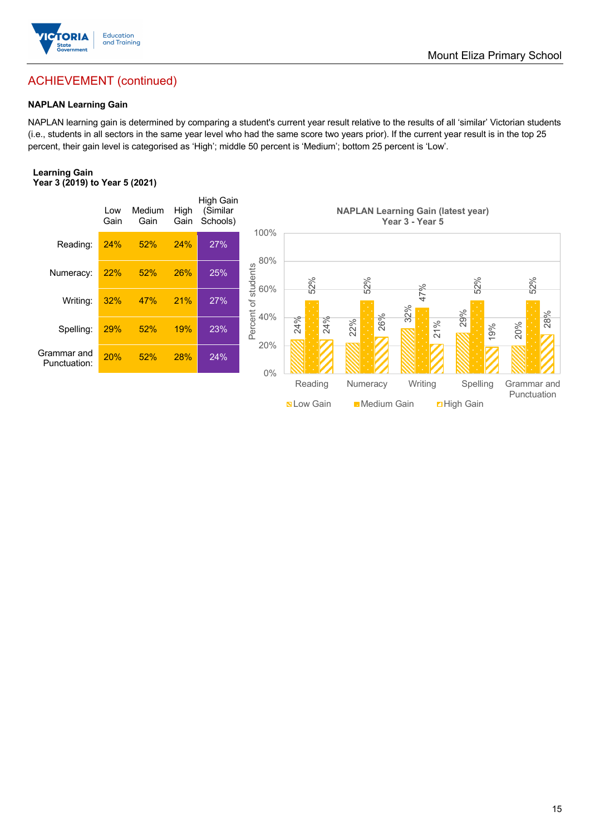

## ACHIEVEMENT (continued)

#### **NAPLAN Learning Gain**

NAPLAN learning gain is determined by comparing a student's current year result relative to the results of all 'similar' Victorian students (i.e., students in all sectors in the same year level who had the same score two years prior). If the current year result is in the top 25 percent, their gain level is categorised as 'High'; middle 50 percent is 'Medium'; bottom 25 percent is 'Low'.

#### **Learning Gain Year 3 (2019) to Year 5 (2021)**



**Nation Common Digital Medium Gain** Digh Gain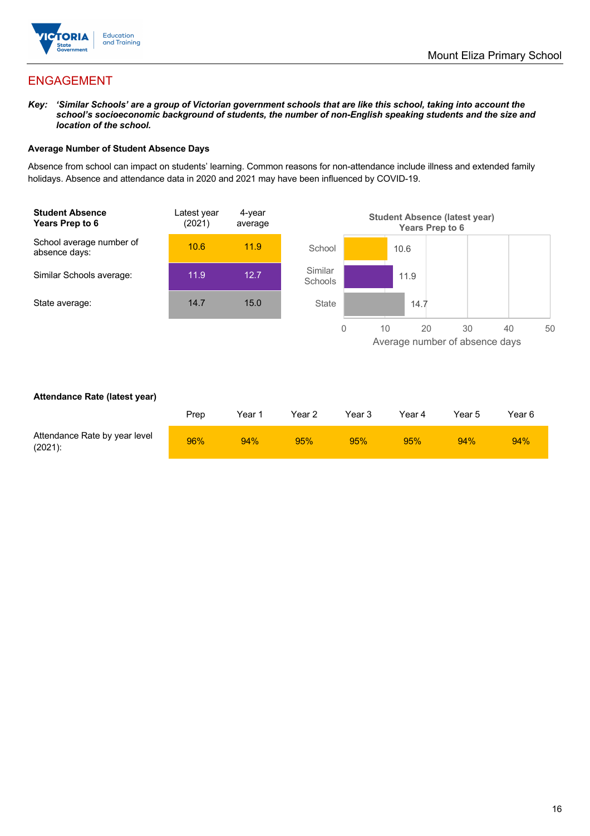

## ENGAGEMENT

*Key: 'Similar Schools' are a group of Victorian government schools that are like this school, taking into account the school's socioeconomic background of students, the number of non-English speaking students and the size and location of the school.*

#### **Average Number of Student Absence Days**

Absence from school can impact on students' learning. Common reasons for non-attendance include illness and extended family holidays. Absence and attendance data in 2020 and 2021 may have been influenced by COVID-19.



#### **Attendance Rate (latest year)**

|                                             | Prep | Year 1 | Year 2 | Year 3 | Year 4 | Year 5 | Year 6 |
|---------------------------------------------|------|--------|--------|--------|--------|--------|--------|
| Attendance Rate by year level<br>$(2021)$ : | 96%  | 94%    | 95%    | 95%    | 95%    | 94%    | 94%    |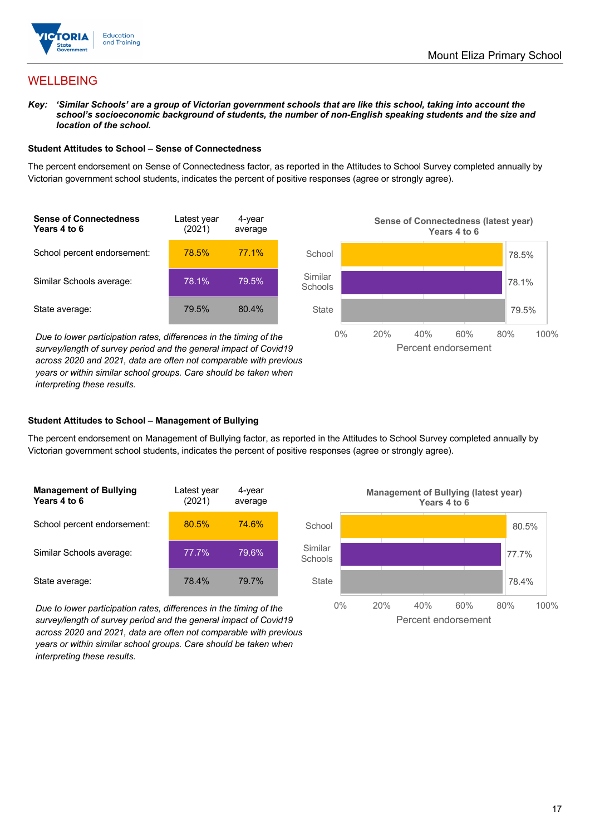

## WELLBEING

*Key: 'Similar Schools' are a group of Victorian government schools that are like this school, taking into account the*  school's socioeconomic background of students, the number of non-English speaking students and the size and *location of the school.*

#### **Student Attitudes to School – Sense of Connectedness**

The percent endorsement on Sense of Connectedness factor, as reported in the Attitudes to School Survey completed annually by Victorian government school students, indicates the percent of positive responses (agree or strongly agree).



*Due to lower participation rates, differences in the timing of the survey/length of survey period and the general impact of Covid19 across 2020 and 2021, data are often not comparable with previous years or within similar school groups. Care should be taken when interpreting these results.*



#### **Student Attitudes to School – Management of Bullying**

The percent endorsement on Management of Bullying factor, as reported in the Attitudes to School Survey completed annually by Victorian government school students, indicates the percent of positive responses (agree or strongly agree).

| <b>Management of Bullying</b><br>Years 4 to 6 | Latest year<br>(2021) | 4-year<br>average |  |
|-----------------------------------------------|-----------------------|-------------------|--|
| School percent endorsement:                   | 80.5%                 | <b>74.6%</b>      |  |
| Similar Schools average:                      | 77.7%                 | 79.6%             |  |
| State average:                                | 78.4%                 | 79.7%             |  |

*Due to lower participation rates, differences in the timing of the survey/length of survey period and the general impact of Covid19 across 2020 and 2021, data are often not comparable with previous years or within similar school groups. Care should be taken when interpreting these results.*

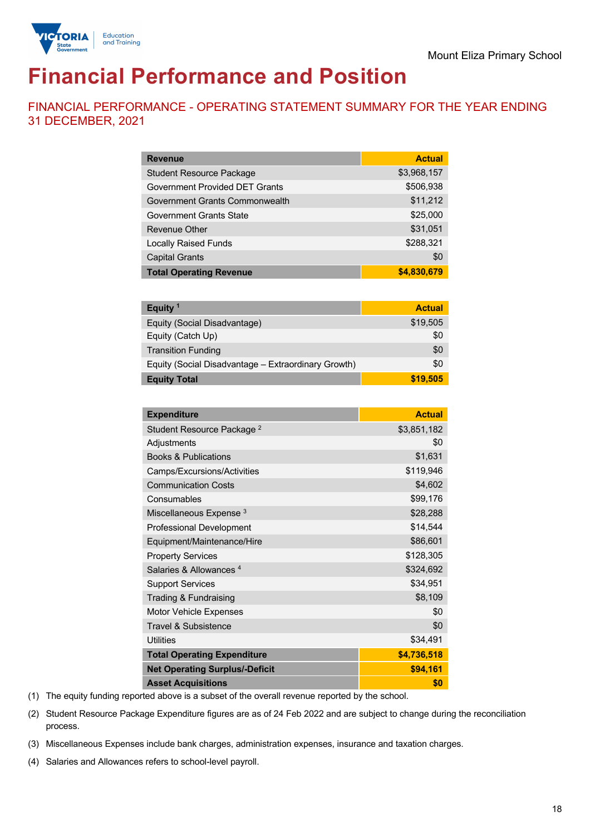

# **Financial Performance and Position**

FINANCIAL PERFORMANCE - OPERATING STATEMENT SUMMARY FOR THE YEAR ENDING 31 DECEMBER, 2021

| <b>Revenue</b>                  | <b>Actual</b> |
|---------------------------------|---------------|
| <b>Student Resource Package</b> | \$3,968,157   |
| Government Provided DET Grants  | \$506,938     |
| Government Grants Commonwealth  | \$11,212      |
| Government Grants State         | \$25,000      |
| Revenue Other                   | \$31,051      |
| <b>Locally Raised Funds</b>     | \$288,321     |
| <b>Capital Grants</b>           | \$0           |
| <b>Total Operating Revenue</b>  | \$4,830,679   |

| Equity <sup>1</sup>                                 | <b>Actual</b> |
|-----------------------------------------------------|---------------|
| Equity (Social Disadvantage)                        | \$19,505      |
| Equity (Catch Up)                                   | \$0           |
| <b>Transition Funding</b>                           | \$0           |
| Equity (Social Disadvantage - Extraordinary Growth) | \$0           |
| <b>Equity Total</b>                                 | \$19,505      |

| <b>Expenditure</b>                    | <b>Actual</b> |
|---------------------------------------|---------------|
| Student Resource Package <sup>2</sup> | \$3,851,182   |
| Adjustments                           | \$0           |
| <b>Books &amp; Publications</b>       | \$1,631       |
| Camps/Excursions/Activities           | \$119,946     |
| <b>Communication Costs</b>            | \$4,602       |
| Consumables                           | \$99,176      |
| Miscellaneous Expense <sup>3</sup>    | \$28,288      |
| <b>Professional Development</b>       | \$14,544      |
| Equipment/Maintenance/Hire            | \$86,601      |
| <b>Property Services</b>              | \$128,305     |
| Salaries & Allowances <sup>4</sup>    | \$324,692     |
| <b>Support Services</b>               | \$34,951      |
| Trading & Fundraising                 | \$8,109       |
| Motor Vehicle Expenses                | \$0           |
| <b>Travel &amp; Subsistence</b>       | \$0           |
| <b>Utilities</b>                      | \$34,491      |
| <b>Total Operating Expenditure</b>    | \$4,736,518   |
| <b>Net Operating Surplus/-Deficit</b> | \$94,161      |
| <b>Asset Acquisitions</b>             | \$0           |

(1) The equity funding reported above is a subset of the overall revenue reported by the school.

(2) Student Resource Package Expenditure figures are as of 24 Feb 2022 and are subject to change during the reconciliation process.

(3) Miscellaneous Expenses include bank charges, administration expenses, insurance and taxation charges.

(4) Salaries and Allowances refers to school-level payroll.